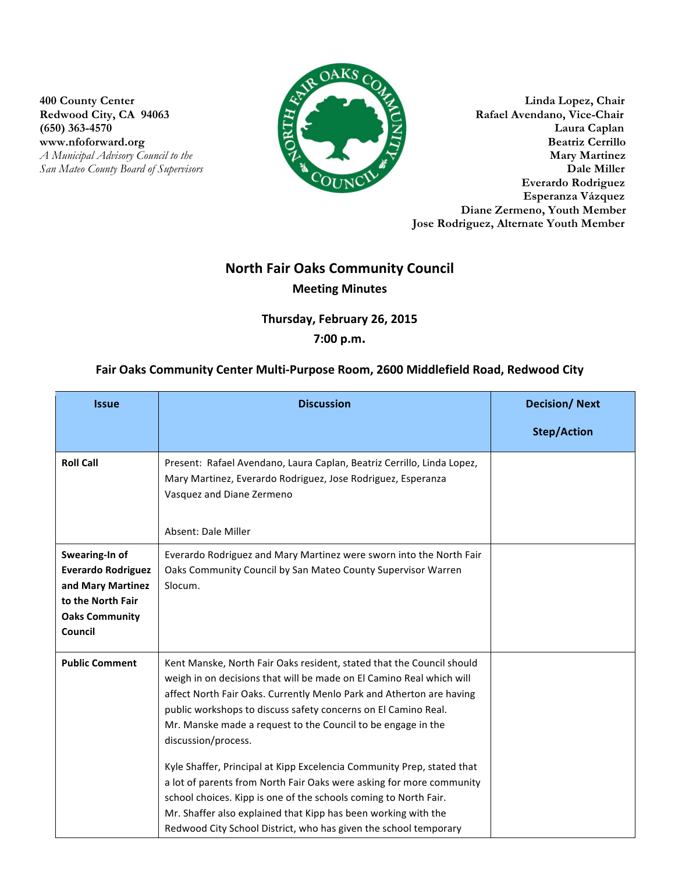**(650) 363-4570** 

**San Mateo County Board of Supervisors** 



**400 County Center Linda Lopez, Chair** Redwood City, CA 94063 Rafael Avendano, Vice-Chair<br>
(650) 363-4570 Laura Caplan www.nfoforward.org Beatriz Cerrillo *A Municipal Advisory Council to the* **Mary Martinez**<br> *A Municipal Advisory Council to the* **<b>Mary Martinez**<br> **Dale Miller Everardo Rodriguez Esperanza Vázquez Diane Zermeno, Youth Member Jose Rodriguez, Alternate Youth Member**

## **North Fair Oaks Community Council Meeting Minutes**

Thursday, February 26, 2015

## **7:00 p.m.**

## Fair Oaks Community Center Multi-Purpose Room, 2600 Middlefield Road, Redwood City

| <b>Issue</b>                                                                                                              | <b>Discussion</b>                                                                                                                                                                                                                                                                                                                                                                                                                                                                                                                                                                                                                                                                                                                          | <b>Decision/Next</b> |
|---------------------------------------------------------------------------------------------------------------------------|--------------------------------------------------------------------------------------------------------------------------------------------------------------------------------------------------------------------------------------------------------------------------------------------------------------------------------------------------------------------------------------------------------------------------------------------------------------------------------------------------------------------------------------------------------------------------------------------------------------------------------------------------------------------------------------------------------------------------------------------|----------------------|
|                                                                                                                           |                                                                                                                                                                                                                                                                                                                                                                                                                                                                                                                                                                                                                                                                                                                                            | <b>Step/Action</b>   |
| <b>Roll Call</b>                                                                                                          | Present: Rafael Avendano, Laura Caplan, Beatriz Cerrillo, Linda Lopez,<br>Mary Martinez, Everardo Rodriguez, Jose Rodriguez, Esperanza<br>Vasquez and Diane Zermeno<br>Absent: Dale Miller                                                                                                                                                                                                                                                                                                                                                                                                                                                                                                                                                 |                      |
| Swearing-In of<br><b>Everardo Rodriguez</b><br>and Mary Martinez<br>to the North Fair<br><b>Oaks Community</b><br>Council | Everardo Rodriguez and Mary Martinez were sworn into the North Fair<br>Oaks Community Council by San Mateo County Supervisor Warren<br>Slocum.                                                                                                                                                                                                                                                                                                                                                                                                                                                                                                                                                                                             |                      |
| <b>Public Comment</b>                                                                                                     | Kent Manske, North Fair Oaks resident, stated that the Council should<br>weigh in on decisions that will be made on El Camino Real which will<br>affect North Fair Oaks. Currently Menlo Park and Atherton are having<br>public workshops to discuss safety concerns on El Camino Real.<br>Mr. Manske made a request to the Council to be engage in the<br>discussion/process.<br>Kyle Shaffer, Principal at Kipp Excelencia Community Prep, stated that<br>a lot of parents from North Fair Oaks were asking for more community<br>school choices. Kipp is one of the schools coming to North Fair.<br>Mr. Shaffer also explained that Kipp has been working with the<br>Redwood City School District, who has given the school temporary |                      |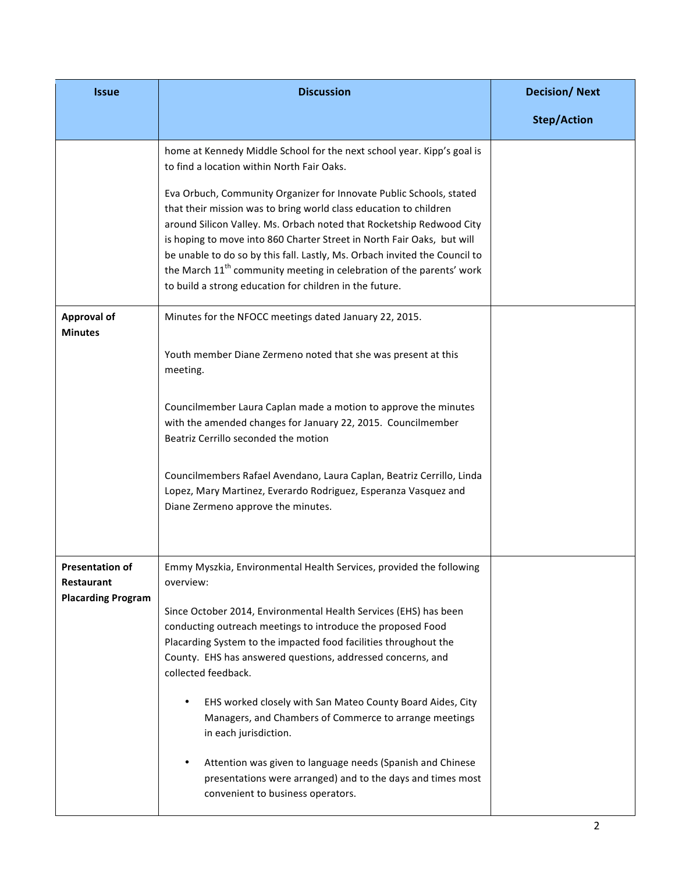| <b>Issue</b>                         | <b>Discussion</b>                                                                                                                                                                                                                                                                                                                                                                                                                                                                                                       | <b>Decision/Next</b> |
|--------------------------------------|-------------------------------------------------------------------------------------------------------------------------------------------------------------------------------------------------------------------------------------------------------------------------------------------------------------------------------------------------------------------------------------------------------------------------------------------------------------------------------------------------------------------------|----------------------|
|                                      |                                                                                                                                                                                                                                                                                                                                                                                                                                                                                                                         | <b>Step/Action</b>   |
|                                      | home at Kennedy Middle School for the next school year. Kipp's goal is<br>to find a location within North Fair Oaks.                                                                                                                                                                                                                                                                                                                                                                                                    |                      |
|                                      | Eva Orbuch, Community Organizer for Innovate Public Schools, stated<br>that their mission was to bring world class education to children<br>around Silicon Valley. Ms. Orbach noted that Rocketship Redwood City<br>is hoping to move into 860 Charter Street in North Fair Oaks, but will<br>be unable to do so by this fall. Lastly, Ms. Orbach invited the Council to<br>the March 11 <sup>th</sup> community meeting in celebration of the parents' work<br>to build a strong education for children in the future. |                      |
| <b>Approval of</b><br><b>Minutes</b> | Minutes for the NFOCC meetings dated January 22, 2015.                                                                                                                                                                                                                                                                                                                                                                                                                                                                  |                      |
|                                      | Youth member Diane Zermeno noted that she was present at this<br>meeting.                                                                                                                                                                                                                                                                                                                                                                                                                                               |                      |
|                                      | Councilmember Laura Caplan made a motion to approve the minutes<br>with the amended changes for January 22, 2015. Councilmember<br>Beatriz Cerrillo seconded the motion                                                                                                                                                                                                                                                                                                                                                 |                      |
|                                      | Councilmembers Rafael Avendano, Laura Caplan, Beatriz Cerrillo, Linda<br>Lopez, Mary Martinez, Everardo Rodriguez, Esperanza Vasquez and<br>Diane Zermeno approve the minutes.                                                                                                                                                                                                                                                                                                                                          |                      |
| <b>Presentation of</b><br>Restaurant | Emmy Myszkia, Environmental Health Services, provided the following<br>overview:                                                                                                                                                                                                                                                                                                                                                                                                                                        |                      |
| <b>Placarding Program</b>            | Since October 2014, Environmental Health Services (EHS) has been<br>conducting outreach meetings to introduce the proposed Food<br>Placarding System to the impacted food facilities throughout the<br>County. EHS has answered questions, addressed concerns, and<br>collected feedback.                                                                                                                                                                                                                               |                      |
|                                      | EHS worked closely with San Mateo County Board Aides, City<br>٠<br>Managers, and Chambers of Commerce to arrange meetings<br>in each jurisdiction.                                                                                                                                                                                                                                                                                                                                                                      |                      |
|                                      | Attention was given to language needs (Spanish and Chinese<br>٠<br>presentations were arranged) and to the days and times most<br>convenient to business operators.                                                                                                                                                                                                                                                                                                                                                     |                      |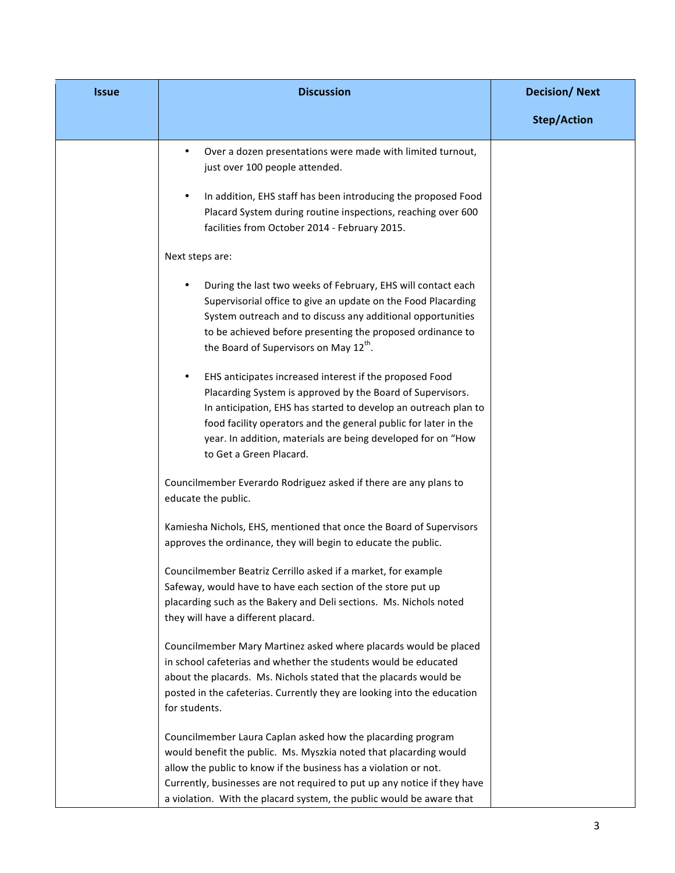| <b>Issue</b> | <b>Discussion</b>                                                                                                                                                                                                                                                                                                                                        | <b>Decision/Next</b> |
|--------------|----------------------------------------------------------------------------------------------------------------------------------------------------------------------------------------------------------------------------------------------------------------------------------------------------------------------------------------------------------|----------------------|
|              |                                                                                                                                                                                                                                                                                                                                                          | <b>Step/Action</b>   |
|              | Over a dozen presentations were made with limited turnout,<br>just over 100 people attended.                                                                                                                                                                                                                                                             |                      |
|              | In addition, EHS staff has been introducing the proposed Food<br>Placard System during routine inspections, reaching over 600<br>facilities from October 2014 - February 2015.                                                                                                                                                                           |                      |
|              | Next steps are:                                                                                                                                                                                                                                                                                                                                          |                      |
|              | During the last two weeks of February, EHS will contact each<br>Supervisorial office to give an update on the Food Placarding<br>System outreach and to discuss any additional opportunities<br>to be achieved before presenting the proposed ordinance to<br>the Board of Supervisors on May 12 <sup>th</sup> .                                         |                      |
|              | EHS anticipates increased interest if the proposed Food<br>Placarding System is approved by the Board of Supervisors.<br>In anticipation, EHS has started to develop an outreach plan to<br>food facility operators and the general public for later in the<br>year. In addition, materials are being developed for on "How<br>to Get a Green Placard.   |                      |
|              | Councilmember Everardo Rodriguez asked if there are any plans to<br>educate the public.                                                                                                                                                                                                                                                                  |                      |
|              | Kamiesha Nichols, EHS, mentioned that once the Board of Supervisors<br>approves the ordinance, they will begin to educate the public.                                                                                                                                                                                                                    |                      |
|              | Councilmember Beatriz Cerrillo asked if a market, for example<br>Safeway, would have to have each section of the store put up<br>placarding such as the Bakery and Deli sections. Ms. Nichols noted<br>they will have a different placard.                                                                                                               |                      |
|              | Councilmember Mary Martinez asked where placards would be placed<br>in school cafeterias and whether the students would be educated<br>about the placards. Ms. Nichols stated that the placards would be<br>posted in the cafeterias. Currently they are looking into the education<br>for students.                                                     |                      |
|              | Councilmember Laura Caplan asked how the placarding program<br>would benefit the public. Ms. Myszkia noted that placarding would<br>allow the public to know if the business has a violation or not.<br>Currently, businesses are not required to put up any notice if they have<br>a violation. With the placard system, the public would be aware that |                      |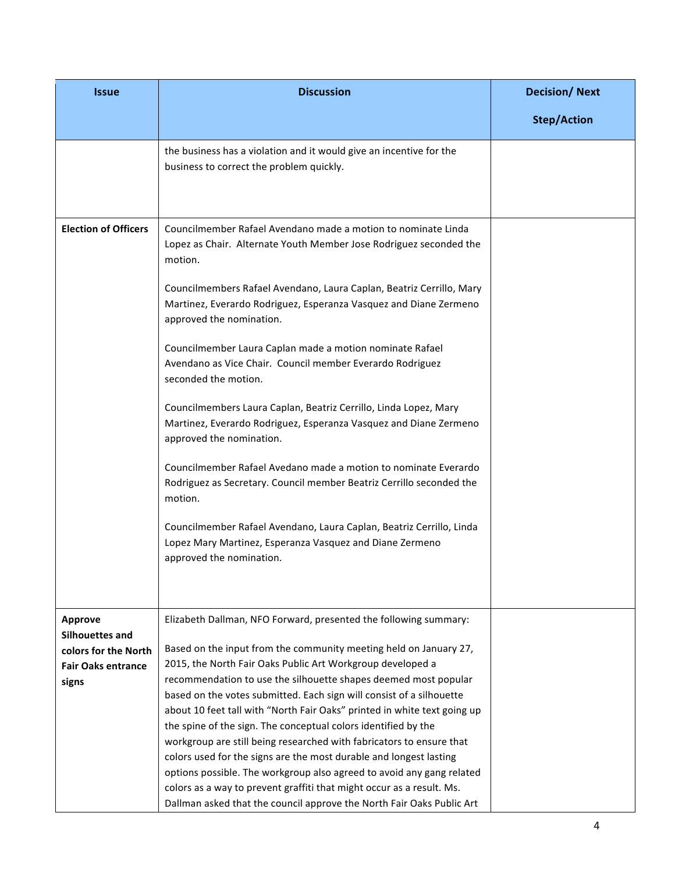| <b>Issue</b>                | <b>Discussion</b>                                                                                                                                                     | <b>Decision/Next</b> |
|-----------------------------|-----------------------------------------------------------------------------------------------------------------------------------------------------------------------|----------------------|
|                             |                                                                                                                                                                       | <b>Step/Action</b>   |
|                             | the business has a violation and it would give an incentive for the                                                                                                   |                      |
|                             | business to correct the problem quickly.                                                                                                                              |                      |
|                             |                                                                                                                                                                       |                      |
| <b>Election of Officers</b> | Councilmember Rafael Avendano made a motion to nominate Linda<br>Lopez as Chair. Alternate Youth Member Jose Rodriguez seconded the<br>motion.                        |                      |
|                             | Councilmembers Rafael Avendano, Laura Caplan, Beatriz Cerrillo, Mary<br>Martinez, Everardo Rodriguez, Esperanza Vasquez and Diane Zermeno<br>approved the nomination. |                      |
|                             | Councilmember Laura Caplan made a motion nominate Rafael<br>Avendano as Vice Chair. Council member Everardo Rodriguez<br>seconded the motion.                         |                      |
|                             | Councilmembers Laura Caplan, Beatriz Cerrillo, Linda Lopez, Mary<br>Martinez, Everardo Rodriguez, Esperanza Vasquez and Diane Zermeno<br>approved the nomination.     |                      |
|                             | Councilmember Rafael Avedano made a motion to nominate Everardo<br>Rodriguez as Secretary. Council member Beatriz Cerrillo seconded the<br>motion.                    |                      |
|                             | Councilmember Rafael Avendano, Laura Caplan, Beatriz Cerrillo, Linda<br>Lopez Mary Martinez, Esperanza Vasquez and Diane Zermeno<br>approved the nomination.          |                      |
| <b>Approve</b>              | Elizabeth Dallman, NFO Forward, presented the following summary:                                                                                                      |                      |
| Silhouettes and             |                                                                                                                                                                       |                      |
| colors for the North        | Based on the input from the community meeting held on January 27,                                                                                                     |                      |
| <b>Fair Oaks entrance</b>   | 2015, the North Fair Oaks Public Art Workgroup developed a                                                                                                            |                      |
| signs                       | recommendation to use the silhouette shapes deemed most popular                                                                                                       |                      |
|                             | based on the votes submitted. Each sign will consist of a silhouette<br>about 10 feet tall with "North Fair Oaks" printed in white text going up                      |                      |
|                             | the spine of the sign. The conceptual colors identified by the                                                                                                        |                      |
|                             | workgroup are still being researched with fabricators to ensure that                                                                                                  |                      |
|                             | colors used for the signs are the most durable and longest lasting                                                                                                    |                      |
|                             | options possible. The workgroup also agreed to avoid any gang related                                                                                                 |                      |
|                             | colors as a way to prevent graffiti that might occur as a result. Ms.<br>Dallman asked that the council approve the North Fair Oaks Public Art                        |                      |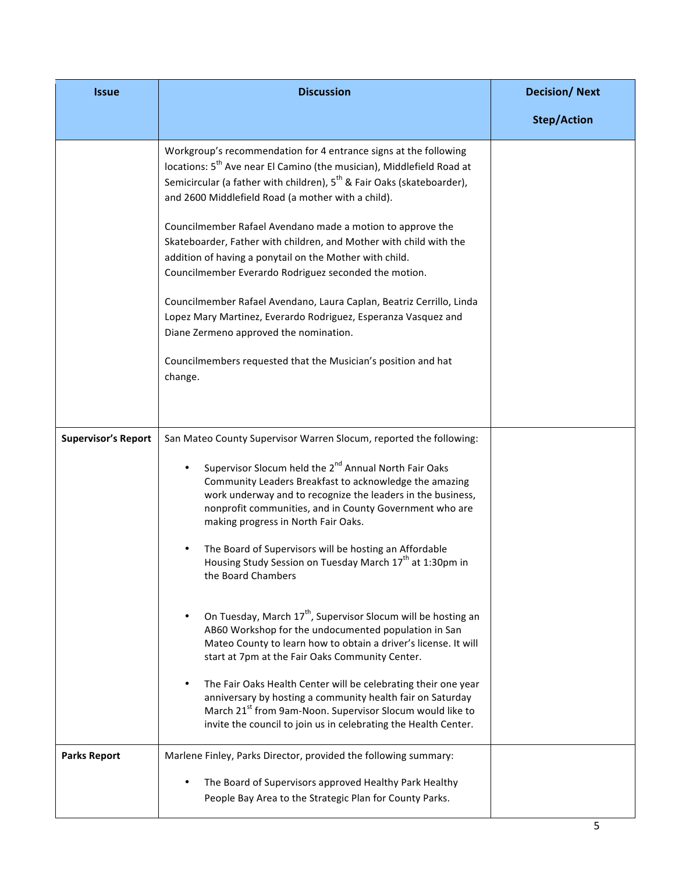| <b>Issue</b>               | <b>Discussion</b>                                                                                                                                                                                                                                                                                                                                                                                                                                                                                                                                                                                                                                                                                                                                                                                                                                                                                                                                                                                                                                                      | <b>Decision/Next</b> |
|----------------------------|------------------------------------------------------------------------------------------------------------------------------------------------------------------------------------------------------------------------------------------------------------------------------------------------------------------------------------------------------------------------------------------------------------------------------------------------------------------------------------------------------------------------------------------------------------------------------------------------------------------------------------------------------------------------------------------------------------------------------------------------------------------------------------------------------------------------------------------------------------------------------------------------------------------------------------------------------------------------------------------------------------------------------------------------------------------------|----------------------|
|                            |                                                                                                                                                                                                                                                                                                                                                                                                                                                                                                                                                                                                                                                                                                                                                                                                                                                                                                                                                                                                                                                                        | <b>Step/Action</b>   |
|                            | Workgroup's recommendation for 4 entrance signs at the following<br>locations: 5 <sup>th</sup> Ave near El Camino (the musician), Middlefield Road at<br>Semicircular (a father with children), 5 <sup>th</sup> & Fair Oaks (skateboarder),<br>and 2600 Middlefield Road (a mother with a child).<br>Councilmember Rafael Avendano made a motion to approve the<br>Skateboarder, Father with children, and Mother with child with the<br>addition of having a ponytail on the Mother with child.<br>Councilmember Everardo Rodriguez seconded the motion.<br>Councilmember Rafael Avendano, Laura Caplan, Beatriz Cerrillo, Linda<br>Lopez Mary Martinez, Everardo Rodriguez, Esperanza Vasquez and<br>Diane Zermeno approved the nomination.<br>Councilmembers requested that the Musician's position and hat<br>change.                                                                                                                                                                                                                                              |                      |
|                            |                                                                                                                                                                                                                                                                                                                                                                                                                                                                                                                                                                                                                                                                                                                                                                                                                                                                                                                                                                                                                                                                        |                      |
| <b>Supervisor's Report</b> | San Mateo County Supervisor Warren Slocum, reported the following:<br>Supervisor Slocum held the 2 <sup>nd</sup> Annual North Fair Oaks<br>Community Leaders Breakfast to acknowledge the amazing<br>work underway and to recognize the leaders in the business,<br>nonprofit communities, and in County Government who are<br>making progress in North Fair Oaks.<br>The Board of Supervisors will be hosting an Affordable<br>Housing Study Session on Tuesday March 17 <sup>th</sup> at 1:30pm in<br>the Board Chambers<br>On Tuesday, March 17 <sup>th</sup> , Supervisor Slocum will be hosting an<br>AB60 Workshop for the undocumented population in San<br>Mateo County to learn how to obtain a driver's license. It will<br>start at 7pm at the Fair Oaks Community Center.<br>The Fair Oaks Health Center will be celebrating their one year<br>٠<br>anniversary by hosting a community health fair on Saturday<br>March 21 <sup>st</sup> from 9am-Noon. Supervisor Slocum would like to<br>invite the council to join us in celebrating the Health Center. |                      |
| <b>Parks Report</b>        | Marlene Finley, Parks Director, provided the following summary:<br>The Board of Supervisors approved Healthy Park Healthy<br>People Bay Area to the Strategic Plan for County Parks.                                                                                                                                                                                                                                                                                                                                                                                                                                                                                                                                                                                                                                                                                                                                                                                                                                                                                   |                      |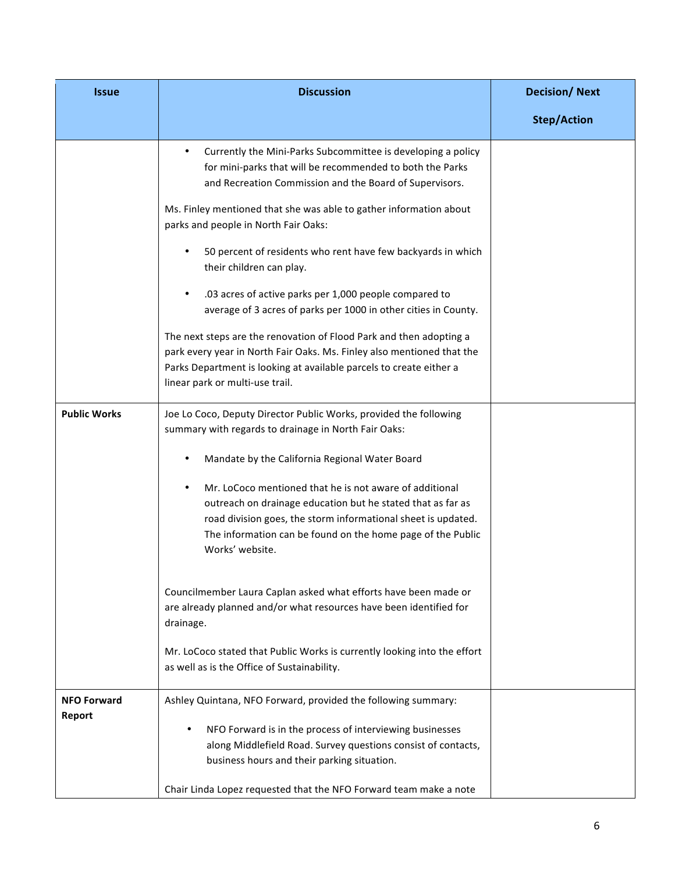| <b>Issue</b>        | <b>Discussion</b>                                                                                                                                                                                                                                                         | <b>Decision/Next</b> |
|---------------------|---------------------------------------------------------------------------------------------------------------------------------------------------------------------------------------------------------------------------------------------------------------------------|----------------------|
|                     |                                                                                                                                                                                                                                                                           | <b>Step/Action</b>   |
|                     | Currently the Mini-Parks Subcommittee is developing a policy<br>for mini-parks that will be recommended to both the Parks<br>and Recreation Commission and the Board of Supervisors.                                                                                      |                      |
|                     | Ms. Finley mentioned that she was able to gather information about<br>parks and people in North Fair Oaks:                                                                                                                                                                |                      |
|                     | 50 percent of residents who rent have few backyards in which<br>their children can play.                                                                                                                                                                                  |                      |
|                     | .03 acres of active parks per 1,000 people compared to<br>average of 3 acres of parks per 1000 in other cities in County.                                                                                                                                                 |                      |
|                     | The next steps are the renovation of Flood Park and then adopting a<br>park every year in North Fair Oaks. Ms. Finley also mentioned that the<br>Parks Department is looking at available parcels to create either a<br>linear park or multi-use trail.                   |                      |
| <b>Public Works</b> | Joe Lo Coco, Deputy Director Public Works, provided the following<br>summary with regards to drainage in North Fair Oaks:                                                                                                                                                 |                      |
|                     | Mandate by the California Regional Water Board                                                                                                                                                                                                                            |                      |
|                     | Mr. LoCoco mentioned that he is not aware of additional<br>outreach on drainage education but he stated that as far as<br>road division goes, the storm informational sheet is updated.<br>The information can be found on the home page of the Public<br>Works' website. |                      |
|                     | Councilmember Laura Caplan asked what efforts have been made or<br>are already planned and/or what resources have been identified for<br>drainage.                                                                                                                        |                      |
|                     | Mr. LoCoco stated that Public Works is currently looking into the effort<br>as well as is the Office of Sustainability.                                                                                                                                                   |                      |
| <b>NFO Forward</b>  | Ashley Quintana, NFO Forward, provided the following summary:                                                                                                                                                                                                             |                      |
| Report              | NFO Forward is in the process of interviewing businesses<br>$\bullet$<br>along Middlefield Road. Survey questions consist of contacts,<br>business hours and their parking situation.                                                                                     |                      |
|                     | Chair Linda Lopez requested that the NFO Forward team make a note                                                                                                                                                                                                         |                      |